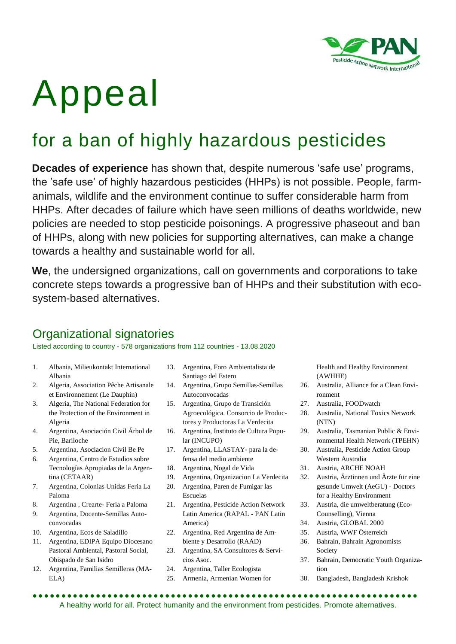

# Appeal

# for a ban of highly hazardous pesticides

**Decades of experience** has shown that, despite numerous 'safe use' programs, the 'safe use' of highly hazardous pesticides (HHPs) is not possible. People, farmanimals, wildlife and the environment continue to suffer considerable harm from HHPs. After decades of failure which have seen millions of deaths worldwide, new policies are needed to stop pesticide poisonings. A progressive phaseout and ban of HHPs, along with new policies for supporting alternatives, can make a change towards a healthy and sustainable world for all.

**We**, the undersigned organizations, call on governments and corporations to take concrete steps towards a progressive ban of HHPs and their substitution with ecosystem-based alternatives.

# Organizational signatories

Listed according to country - 578 organizations from 112 countries - 13.08.2020

- 1. Albania, Milieukontakt International Albania
- 2. Algeria, Association Pêche Artisanale et Environnement (Le Dauphin)
- 3. Algeria, The National Federation for the Protection of the Environment in Algeria
- 4. Argentina, Asociación Civil Árbol de Pie, Bariloche
- 5. Argentina, Asociacion Civil Be Pe
- 6. Argentina, Centro de Estudios sobre Tecnologías Apropiadas de la Argentina (CETAAR)
- 7. Argentina, Colonias Unidas Feria La Paloma
- 8. Argentina , Crearte- Feria a Paloma
- 9. Argentina, Docente-Semillas Autoconvocadas
- 10. Argentina, Ecos de Saladillo
- 11. Argentina, EDIPA Equipo Diocesano Pastoral Ambiental, Pastoral Social, Obispado de San Isidro
- 12. Argentina, Familias Semilleras (MA-ELA)
- 13. Argentina, Foro Ambientalista de Santiago del Estero
- 14. Argentina, Grupo Semillas-Semillas Autoconvocadas
- 15. Argentina, Grupo de Transición Agroecológica. Consorcio de Productores y Productoras La Verdecita
- 16. Argentina, Instituto de Cultura Popular (INCUPO)
- 17. Argentina, LLASTAY- para la defensa del medio ambiente
- 18. Argentina, Nogal de Vida
- 19. Argentina, Organizacion La Verdecita
- 20. Argentina, Paren de Fumigar las Escuelas
- 21. Argentina, Pesticide Action Network Latin America (RAPAL - PAN Latin America)
- 22. Argentina, Red Argentina de Ambiente y Desarrollo (RAAD)
- 23. Argentina, SA Consultores & Servicios Asoc.
- 24. Argentina, Taller Ecologista
- 25. Armenia, Armenian Women for

Health and Healthy Environment (AWHHE)

- 26. Australia, Alliance for a Clean Environment
- 27. Australia, FOODwatch
- 28. Australia, National Toxics Network (NTN)
- 29. Australia, Tasmanian Public & Environmental Health Network (TPEHN)
- 30. Australia, Pesticide Action Group Western Australia
- 31. Austria, ARCHE NOAH
- 32. Austria, Ärztinnen und Ärzte für eine gesunde Umwelt (AeGU) - Doctors for a Healthy Environment
- 33. Austria, die umweltberatung (Eco-Counselling), Vienna
- 34. Austria, GLOBAL 2000
- 35. Austria, WWF Österreich
- 36. Bahrain, Bahrain Agronomists Society
- 37. Bahrain, Democratic Youth Organization
- 38. Bangladesh, Bangladesh Krishok

 A healthy world for all. Protect humanity and the environment from pesticides. Promote alternatives.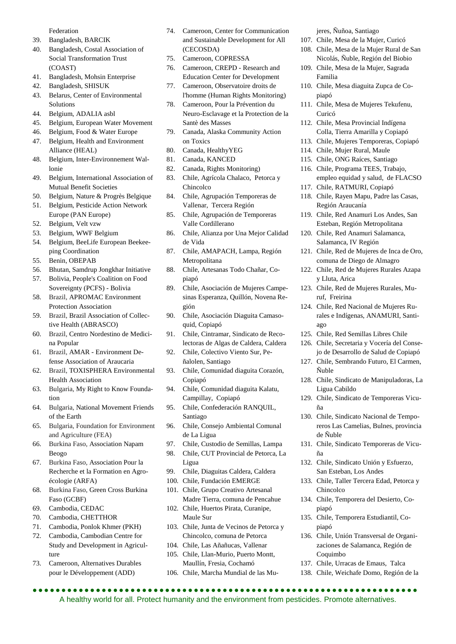Federation

- 39. Bangladesh, BARCIK
- 40. Bangladesh, Costal Association of Social Transformation Trust (COAST)
- 41. Bangladesh, Mohsin Enterprise
- 42. Bangladesh, SHISUK
- 43. Belarus, Center of Environmental Solutions
- 44. Belgium, ADALIA asbl
- 45. Belgium, European Water Movement
- 46. Belgium, Food & Water Europe 47. Belgium, Health and Environment
- Alliance (HEAL) 48. Belgium, Inter-Environnement Wallonie
- 49. Belgium, International Association of Mutual Benefit Societies
- 50. Belgium, Nature & Progrès Belgique
- 51. Belgium, Pesticide Action Network Europe (PAN Europe)
- 52. Belgium, Velt vzw
- 53. Belgium, WWF Belgium
- 54. Belgium, BeeLife European Beekeeping Coordination
- 55. Benin, OBEPAB
- 56. Bhutan, Samdrup Jongkhar Initiative
- 57. Bolivia, People's Coalition on Food Sovereignty (PCFS) - Bolivia
- 58. Brazil, APROMAC Environment Protection Association
- 59. Brazil, Brazil Association of Collective Health (ABRASCO)
- 60. Brazil, Centro Nordestino de Medicina Popular
- 61. Brazil, AMAR Environment Defense Association of Araucaria
- 62. Brazil, TOXISPHERA Environmental Health Association
- 63. Bulgaria, My Right to Know Foundation
- 64. Bulgaria, National Movement Friends of the Earth
- 65. Bulgaria, Foundation for Environment and Agriculture (FEA)
- 66. Burkina Faso, Association Napam Beogo
- 67. Burkina Faso, Association Pour la Recherche et la Formation en Agroécologie (ARFA)
- 68. Burkina Faso, Green Cross Burkina Faso (GCBF)
- 69. Cambodia, CEDAC
- 70. Cambodia, CHETTHOR
- 71. Cambodia, Ponlok Khmer (PKH)
- 72. Cambodia, Cambodian Centre for Study and Development in Agriculture
- 73. Cameroon, Alternatives Durables pour le Développement (ADD)
- 74. Cameroon, Center for Communication and Sustainable Development for All (CECOSDA)
- 75. Cameroon, COPRESSA
- 76. Cameroon, CREPD Research and Education Center for Development
- 77. Cameroon, Observatoire droits de l'homme (Human Rights Monitoring)
- 78. Cameroon, Pour la Prévention du Neuro-Esclavage et la Protection de la Santè des Masses
- 79. Canada, Alaska Community Action on Toxics
- 80. Canada, HealthyYEG
- 81. Canada, KANCED
- 82. Canada, Rights Monitoring)
- 83. Chile, Agrícola Chalaco, Petorca y Chincolco
- 84. Chile, Agrupación Temporeras de Vallenar, Tercera Región
- 85. Chile, Agrupación de Temporeras Valle Cordillerano
- 86. Chile, Alianza por Una Mejor Calidad de Vida
- 87. Chile, AMAPACH, Lampa, Región Metropolitana
- 88. Chile, Artesanas Todo Chañar, Copiapó
- 89. Chile, Asociación de Mujeres Campesinas Esperanza, Quillón, Novena Región
- 90. Chile, Asociación Diaguita Camasoquid, Copiapó
- 91. Chile, Cintramar, Sindicato de Recolectoras de Algas de Caldera, Caldera
- 92. Chile, Colectivo Viento Sur, Peñalolen, Santiago
- 93. Chile, Comunidad diaguita Corazón, Copiapó
- 94. Chile, Comunidad diaguita Kalatu, Campillay, Copiapó
- 95. Chile, Confederación RANQUIL, Santiago
- 96. Chile, Consejo Ambiental Comunal de La Ligua
- 97. Chile, Custodio de Semillas, Lampa
- 98. Chile, CUT Provincial de Petorca, La Ligua
- 99. Chile, Diaguitas Caldera, Caldera
- 100. Chile, Fundación EMERGE
- 101. Chile, Grupo Creativo Artesanal Madre Tierra, comuna de Pencahue
- 102. Chile, Huertos Pirata, Curanipe, Maule Sur
- 103. Chile, Junta de Vecinos de Petorca y Chincolco, comuna de Petorca
- 104. Chile, Las Añañucas, Vallenar
- 105. Chile, Llan-Murio, Puerto Montt, Maullín, Fresia, Cochamó
- 106. Chile, Marcha Mundial de las Mu-

A healthy world for all. Protect humanity and the environment from pesticides. Promote alternatives.

jeres, Ñuñoa, Santiago

- 107. Chile, Mesa de la Mujer, Curicó
- 108. Chile, Mesa de la Mujer Rural de San Nicolás, Ñuble, Región del Biobio
- 109. Chile, Mesa de la Mujer, Sagrada Familia
- 110. Chile, Mesa diaguita Zupca de Copiapó
- 111. Chile, Mesa de Mujeres Tekufenu, Curicó
- 112. Chile, Mesa Provincial Indígena Colla, Tierra Amarilla y Copiapó
- 113. Chile, Mujeres Temporeras, Copiapó
- 114. Chile, Mujer Rural, Maule
- 115. Chile, ONG Raíces, Santiago
- 116. Chile, Programa TEES, Trabajo, empleo equidad y salud, de FLACSO
- 117. Chile, RATMURI, Copiapó
- 118. Chile, Rayen Mapu, Padre las Casas, Región Araucanía
- 119. Chile, Red Anamuri Los Andes, San Esteban, Región Metropolitana
- 120. Chile, Red Anamuri Salamanca, Salamanca, IV Región
- 121. Chile, Red de Mujeres de Inca de Oro, comuna de Diego de Almagro
- 122. Chile, Red de Mujeres Rurales Azapa y Lluta, Arica
- 123. Chile, Red de Mujeres Rurales, Muruf, Freirina
- 124. Chile, Red Nacional de Mujeres Rurales e Indígenas, ANAMURI, Santiago
- 125. Chile, Red Semillas Libres Chile
- 126. Chile, Secretaria y Vocería del Consejo de Desarrollo de Salud de Copiapó
- 127. Chile, Sembrando Futuro, El Carmen, Ñuble
- 128. Chile, Sindicato de Manipuladoras, La Ligua Cabildo
- 129. Chile, Sindicato de Temporeras Vicuña
- 130. Chile, Sindicato Nacional de Temporeros Las Camelias, Bulnes, provincia de Ñuble
- 131. Chile, Sindicato Temporeras de Vicuña
- 132. Chile, Sindicato Unión y Esfuerzo, San Esteban, Los Andes
- 133. Chile, Taller Tercera Edad, Petorca y Chincolco
- 134. Chile, Temporera del Desierto, Copiapó
- 135. Chile, Temporera Estudiantil, Copiapó
- 136. Chile, Unión Transversal de Organizaciones de Salamanca, Región de Coquimbo

138. Chile, Weichafe Domo, Región de la

137. Chile, Urracas de Emaus, Talca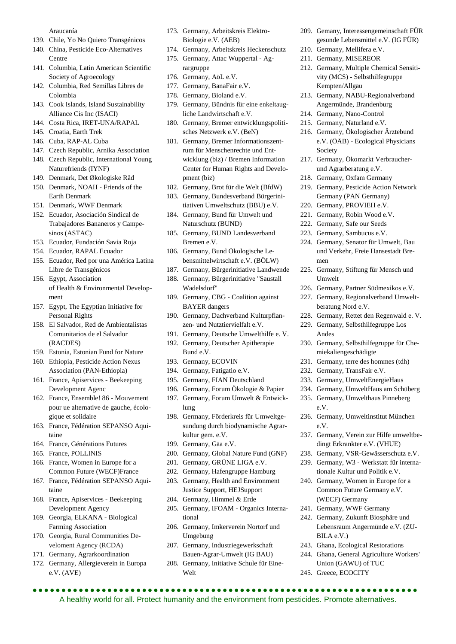Araucanía

- 139. Chile, Yo No Quiero Transgénicos
- 140. China, Pesticide Eco-Alternatives Centre
- 141. Columbia, Latin American Scientific Society of Agroecology
- 142. Columbia, Red Semillas Libres de Colombia
- 143. Cook Islands, Island Sustainability Alliance Cis Inc (ISACI)
- 144. Costa Rica, IRET-UNA/RAPAL
- 145. Croatia, Earth Trek
- 146. Cuba, RAP-AL Cuba
- 147. Czech Republic, Arnika Association
- 148. Czech Republic, International Young Naturefriends (IYNF)
- 149. Denmark, Det Økologiske Råd
- 150. Denmark, NOAH Friends of the Earth Denmark
- 151. Denmark, WWF Denmark
- 152. Ecuador, Asociación Sindical de Trabajadores Bananeros y Campesinos (ASTAC)
- 153. Ecuador, Fundación Savia Roja
- 154. Ecuador, RAPAL Ecuador
- 155. Ecuador, Red por una América Latina Libre de Transgénicos
- 156. Egypt, Association of Health & Environmental Development
- 157. Egypt, The Egyptian Initiative for Personal Rights
- 158. El Salvador, Red de Ambientalistas Comunitarios de el Salvador (RACDES)
- 159. Estonia, Estonian Fund for Nature
- 160. Ethiopia, Pesticide Action Nexus Association (PAN-Ethiopia)
- 161. France, Apiservices Beekeeping Development Agenc
- 162. France, Ensemble! 86 Mouvement pour ue alternative de gauche, écologique et solidaire
- 163. France, Fédération SEPANSO Aquitaine
- 164. France, Générations Futures
- 165. France, POLLINIS
- 166. France, Women in Europe for a Common Future (WECF)France
- 167. France, Fédération SEPANSO Aquitaine
- 168. France, Apiservices Beekeeping Development Agency
- 169. Georgia, ELKANA Biological Farming Association
- 170. Georgia, Rural Communities Develoment Agency (RCDA)
- 171. Germany, Agrarkoordination
- 172. Germany, Allergieverein in Europa e.V. (AVE)
- 173. Germany, Arbeitskreis Elektro-Biologie e.V. (AEB)
- 174. Germany, Arbeitskreis Heckenschutz
- 175. Germany, Attac Wuppertal Agrargruppe
- 176. Germany, AöL e.V.
- 177. Germany, BanaFair e.V.
- 178. Germany, Bioland e.V.
- 179. Germany, Bündnis für eine enkeltaugliche Landwirtschaft e.V.
- 180. Germany, Bremer entwicklungspolitisches Netzwerk e.V. (BeN)
- 181. Germany, Bremer Informationszentrum für Menschenrechte und Entwicklung (biz) / Bremen Information Center for Human Rights and Development (biz)
- 182. Germany, Brot für die Welt (BfdW)
- 183. Germany, Bundesverband Bürgerinitiativen Umweltschutz (BBU) e.V.
- 184. Germany, Bund für Umwelt und Naturschutz (BUND)
- 185. Germany, BUND Landesverband Bremen e.V.
- 186. Germany, Bund Ökologische Lebensmittelwirtschaft e.V. (BÖLW)
- 187. Germany, Bürgerinitiative Landwende
- 188. Germany, Bürgerinitiative "Saustall Wadelsdorf"
- 189. Germany, CBG Coalition against BAYER dangers
- 190. Germany, Dachverband Kulturpflanzen- und Nutztiervielfalt e.V.
- 191. Germany, Deutsche Umwelthilfe e. V.
- 192. Germany, Deutscher Apitherapie Bund e.V.
- 193. Germany, ECOVIN
- 194. Germany, Fatigatio e.V.
- 195. Germany, FIAN Deutschland
- 196. Germany, Forum Ökologie & Papier
- 197. Germany, Forum Umwelt & Entwicklung
- 198. Germany, Förderkreis für Umweltgesundung durch biodynamische Agrarkultur gem. e.V.
- 199. Germany, Gäa e.V.
- 200. Germany, Global Nature Fund (GNF)
- 201. Germany, GRÜNE LIGA e.V.
- 202. Germany, Hafengruppe Hamburg
- 203. Germany, Health and Environment Justice Support, HEJSupport
- 204. Germany, Himmel & Erde

- 205. Germany, IFOAM Organics International
- 206. Germany, Imkerverein Nortorf und Umgebung
- 207. Germany, Industriegewerkschaft Bauen-Agrar-Umwelt (IG BAU)
- 208. Germany, Initiative Schule für Eine-Welt

A healthy world for all. Protect humanity and the environment from pesticides. Promote alternatives.

- 209. Gemany, Interessengemeinschaft FÜR gesunde Lebensmittel e.V. (IG FÜR)
- 210. Germany, Mellifera e.V.
- 211. Germany, MISEREOR
- 212. Germany, Multiple Chemical Sensitivity (MCS) - Selbsthilfegruppe Kempten/Allgäu
- 213. Germany, NABU-Regionalverband Angermünde, Brandenburg
- 214. Germany, Nano-Control
- 215. Germany, Naturland e.V.
- 216. Germany, Ökologischer Ärztebund e.V. (ÖÄB) - Ecological Physicians Society
- 217. Germany, Ökomarkt Verbraucherund Agrarberatung e.V.
- 218. Germany, Oxfam Germany
- 219. Germany, Pesticide Action Network Germany (PAN Germany)
- 220. Germany, PROVIEH e.V.
- 221. Germany, Robin Wood e.V.
- 222. Germany, Safe our Seeds
- 223. Germany, Sambucus e.V.
- 224. Germany, Senator für Umwelt, Bau und Verkehr, Freie Hansestadt Bremen
- 225. Germany, Stiftung für Mensch und Umwelt
- 226. Germany, Partner Südmexikos e.V.
- 227. Germany, Regionalverband Umweltberatung Nord e.V.
- 228. Germany, Rettet den Regenwald e. V.
- 229. Germany, Selbsthilfegruppe Los Andes
- 230. Germany, Selbsthilfegruppe für Chemiekaliengeschädigte
- 231. Germany, terre des hommes (tdh)
- 232. Germany, TransFair e.V.

(WECF) Germany 241. Germany, WWF Germany 242. Germany, Zukunft Biosphäre und Lebensraum Angermünde e.V. (ZU-

243. Ghana, Ecological Restorations 244. Ghana, General Agriculture Workers' Union (GAWU) of TUC

BILA e.V.)

245. Greece, ECOCITY

- 233. Germany, UmweltEnergieHaus
- 234. Germany, UmweltHaus am Schüberg
- 235. Germany, Umwelthaus Pinneberg e.V.
- 236. Germany, Umweltinstitut München e.V.
- 237. Germany, Verein zur Hilfe umweltbedingt Erkrankter e.V. (VHUE) 238. Germany, VSR-Gewässerschutz e.V.

239. Germany, W3 - Werkstatt für internationale Kultur und Politik e.V. 240. Germany, Women in Europe for a Common Future Germany e.V.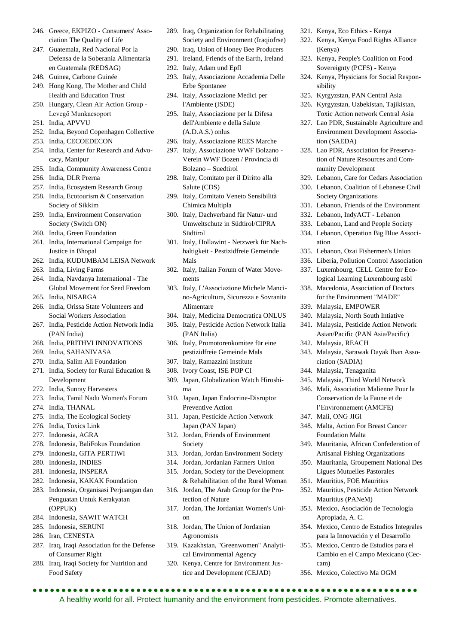- 246. Greece, EKPIZO Consumers' Association The Quality of Life
- 247. Guatemala, Red Nacional Por la Defensa de la Soberanía Alimentaria en Guatemala (REDSAG)
- 248. Guinea, Carbone Guinée
- 249. Hong Kong, The Mother and Child Health and Education Trust
- 250. Hungary, Clean Air Action Group Levegő Munkacsoport
- 251. India, APVVU
- 252. India, Beyond Copenhagen Collective
- 253. India, CECOEDECON
- 254. India, Center for Research and Advocacy, Manipur
- 255. India, Community Awareness Centre
- 256. India, DLR Prerna
- 257. India, Ecosystem Research Group
- 258. India, Ecotourism & Conservation Society of Sikkim
- 259. India, Environment Conservation Society (Switch ON)
- 260. India, Green Foundation
- 261. India, International Campaign for Justice in Bhopal
- 262. India, KUDUMBAM LEISA Network
- 263. India, Living Farms
- 264. India, Navdanya International The Global Movement for Seed Freedom
- 265. India, NISARGA
- 266. India, Orissa State Volunteers and Social Workers Association
- 267. India, Pesticide Action Network India (PAN India)
- 268. India, PRITHVI INNOVATIONS
- 269. India, SAHANIVASA
- 270. India, Salim Ali Foundation
- 271. India, Society for Rural Education & Development
- 272. India, Sunray Harvesters
- 273. India, Tamil Nadu Women's Forum
- 274. India, THANAL
- 275. India, The Ecological Society
- 276. India, Toxics Link
- 277. Indonesia, AGRA
- 278. Indonesia, BaliFokus Foundation
- 279. Indonesia, GITA PERTIWI
- 280. Indonesia, INDIES
- 281. Indonesia, INSPERA
- 282. Indonesia, KAKAK Foundation
- 283. Indonesia, Organisasi Perjuangan dan Penguatan Untuk Kerakyatan (OPPUK)
- 284. Indonesia, SAWIT WATCH
- 285. Indonesia, SERUNI
- 286. Iran, CENESTA
- 287. Iraq, Iraqi Association for the Defense of Consumer Right
- 288. Iraq, Iraqi Society for Nutrition and Food Safety
- 289. Iraq, Organization for Rehabilitating Society and Environment (Iraqiofrse)
- 290. Iraq, Union of Honey Bee Producers
- 291. Ireland, Friends of the Earth, Ireland 292. Italy, Adam und Epfl
- 
- 293. Italy, Associazione Accademia Delle Erbe Spontanee
- 294. Italy, Associazione Medici per l'Ambiente (ISDE)
- 295. Italy, Associazione per la Difesa dell'Ambiente e della Salute (A.D.A.S.) onlus
- 296. Italy, Associazione REES Marche
- 297. Italy, Associazione WWF Bolzano Verein WWF Bozen / Provincia di Bolzano – Suedtirol
- 298. Italy, Comitato per il Diritto alla Salute (CDS)
- 299. Italy, Comitato Veneto Sensibilità Chimica Multipla
- 300. Italy, Dachverband für Natur- und Umweltschutz in Südtirol/CIPRA Südtirol
- 301. Italy, Hollawint Netzwerk für Nachhaltigkeit - Pestizidfreie Gemeinde Mals
- 302. Italy, Italian Forum of Water Movements
- 303. Italy, L'Associazione Michele Mancino-Agricultura, Sicurezza e Sovranita Alimentare
- 304. Italy, Medicina Democratica ONLUS
- 305. Italy, Pesticide Action Network Italia (PAN Italia)
- 306. Italy, Promotorenkomitee für eine pestizidfreie Gemeinde Mals
- 307. Italy, Ramazzini Institute
- 308. Ivory Coast, ISE POP CI
- 309. Japan, Globalization Watch Hiroshima
- 310. Japan, Japan Endocrine-Disruptor Preventive Action
- 311. Japan, Pesticide Action Network Japan (PAN Japan)
- 312. Jordan, Friends of Environment Society
- 313. Jordan, Jordan Environment Society
- 314. Jordan, Jordanian Farmers Union
- 315. Jordan, Society for the Development & Rehabilitation of the Rural Woman
- 316. Jordan, The Arab Group for the Protection of Nature
- 317. Jordan, The Jordanian Women's Union
- 318. Jordan, The Union of Jordanian Agronomists
- 319. Kazakhstan, "Greenwomen" Analytical Environmental Agency
- 320. Kenya, Centre for Environment Justice and Development (CEJAD)

A healthy world for all. Protect humanity and the environment from pesticides. Promote alternatives.

- 321. Kenya, Eco Ethics Kenya
- 322. Kenya, Kenya Food Rights Alliance (Kenya)
- 323. Kenya, People's Coalition on Food Sovereignty (PCFS) - Kenya
- 324. Kenya, Physicians for Social Responsibility
- 325. Kyrgyzstan, PAN Central Asia
- 326. Kyrgyzstan, Uzbekistan, Tajikistan, Toxic Action network Central Asia
- 327. Lao PDR, Sustainable Agriculture and Environment Development Association (SAEDA)
- 328. Lao PDR, Association for Preservation of Nature Resources and Community Development
- 329. Lebanon, Care for Cedars Association
- 330. Lebanon, Coalition of Lebanese Civil Society Organizations
- 331. Lebanon, Friends of the Environment
- 332. Lebanon, IndyACT Lebanon
- 333. Lebanon, Land and People Society
- 334. Lebanon, Operation Big Blue Association
- 335. Lebanon, Ozai Fishermen's Union
- 336. Liberia, Pollution Control Association
- 337. Luxembourg, CELL Centre for Ecological Learning Luxembourg asbl
- 338. Macedonia, Association of Doctors for the Environment "MADE"
- 339. Malaysia, EMPOWER
- 340. Malaysia, North South Intiative
- 341. Malaysia, Pesticide Action Network Asian/Pacific (PAN Asia/Pacific)
- 342. Malaysia, REACH
- 343. Malaysia, Sarawak Dayak Iban Association (SADIA)

Conservation de la Faune et de l'Environnement (AMCFE)

349. Mauritania, African Confederation of Artisanal Fishing Organizations 350. Mauritania, Groupement National Des Ligues Mutuelles Pastorales 351. Mauritius, FOE Mauritius

352. Mauritius, Pesticide Action Network

354. Mexico, Centro de Estudios Integrales para la Innovación y el Desarrollo 355. Mexico, Centro de Estudios para el Cambio en el Campo Mexicano (Cec-

344. Malaysia, Tenaganita

347. Mali, ONG JIGI

345. Malaysia, Third World Network 346. Mali, Association Malienne Pour la

348. Malta, Action For Breast Cancer

Foundation Malta

Mauritius (PANeM) 353. Mexico, Asociación de Tecnología

356. Mexico, Colectivo Ma OGM

Apropiada, A. C.

cam)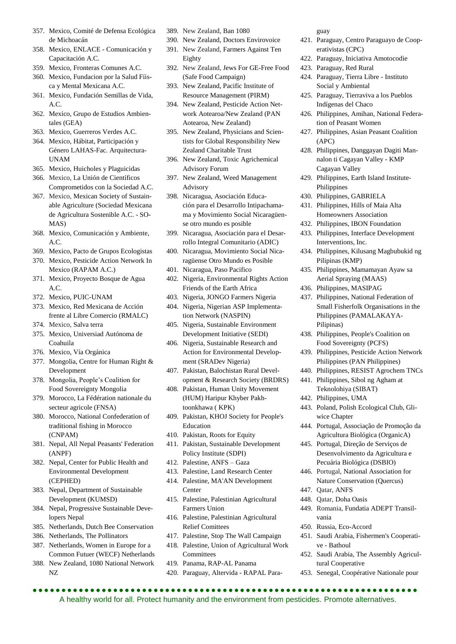- 357. Mexico, Comité de Defensa Ecológica de Michoacán
- 358. Mexico, ENLACE Comunicación y Capacitación A.C.
- 359. Mexico, Fronteras Comunes A.C.
- 360. Mexico, Fundacion por la Salud Fíisca y Mental Mexicana A.C.
- 361. Mexico, Fundación Semillas de Vida, A.C.
- 362. Mexico, Grupo de Estudios Ambientales (GEA)
- 363. Mexico, Guerreros Verdes A.C.
- 364. Mexico, Hábitat, Participación y Género LAHAS-Fac. Arquitectura-UNAM
- 365. Mexico, Huicholes y Plaguicidas
- 366. Mexico, La Unión de Científicos Comprometidos con la Sociedad A.C.
- 367. Mexico, Mexican Society of Sustainable Agriculture (Sociedad Mexicana de Agricultura Sostenible A.C. - SO-MAS)
- 368. Mexico, Comunicación y Ambiente, A.C.
- 369. Mexico, Pacto de Grupos Ecologistas
- 370. Mexico, Pesticide Action Network In Mexico (RAPAM A.C.)
- 371. Mexico, Proyecto Bosque de Agua A.C.
- 372. Mexico, PUIC-UNAM
- 373. Mexico, Red Mexicana de Acción frente al Libre Comercio (RMALC)
- 374. Mexico, Salva terra
- 375. Mexico, Universiad Autónoma de Coahuila
- 376. Mexico, Vía Orgánica
- 377. Mongolia, Centre for Human Right & Development
- 378. Mongolia, People's Coalition for Food Sovereignty Mongolia
- 379. Morocco, La Fédération nationale du secteur agricole (FNSA)
- 380. Morocco, National Confederation of traditional fishing in Morocco (CNPAM)
- 381. Nepal, All Nepal Peasants' Federation (ANPF)
- 382. Nepal, Center for Public Health and Environmental Development (CEPHED)
- 383. Nepal, Department of Sustainable Development (KUMSD)
- 384. Nepal, Progressive Sustainable Developers Nepal
- 385. Netherlands, Dutch Bee Conservation
- 386. Netherlands, The Pollinators
- 387. Netherlands, Women in Europe for a Common Futuer (WECF) Netherlands
- 388. New Zealand, 1080 National Network NZ
- 389. New Zealand, Ban 1080
- 390. New Zealand, Doctors Envirovoice 391. New Zealand, Farmers Against Ten Eighty
- 392. New Zealand, Jews For GE-Free Food (Safe Food Campaign)
- 393. New Zealand, Pacific Institute of Resource Management (PIRM)
- 394. New Zealand, Pesticide Action Network Aotearoa/New Zealand (PAN Aotearoa, New Zealand)
- 395. New Zealand, Physicians and Scientists for Global Responsibility New Zealand Charitable Trust
- 396. New Zealand, Toxic Agrichemical Advisory Forum
- 397. New Zealand, Weed Management Advisory
- 398. Nicaragua, Asociación Educación para el Desarrollo Intipachamama y Movimiento Social Nicaragüense otro mundo es posible
- 399. Nicaragua, Asociación para el Desarrollo Integral Comunitario (ADIC)
- 400. Nicaragua, Movimiento Social Nicaragüense Otro Mundo es Posible
- 401. Nicaragua, Paso Pacifico
- 402. Nigeria, Environmental Rights Action Friends of the Earth Africa
- 403. Nigeria, JONGO Farmers Nigeria
- 404. Nigeria, Nigerian ASP Implementation Network (NASPIN)
- 405. Nigeria, Sustainable Environment Development Initiative (SEDI)
- 406. Nigeria, Sustainable Research and Action for Environmental Development (SRADev Nigeria)
- 407. Pakistan, Balochistan Rural Development & Research Society (BRDRS)
- 408. Pakistan, Human Unity Movement (HUM) Haripur Khyber Pakhtoonkhawa ( KPK)
- 409. Pakistan, KHOJ Society for People's Education
- 410. Pakistan, Roots for Equity
- 411. Pakistan, Sustainable Development Policy Institute (SDPI)
- 412. Palestine, ANFS Gaza
- 413. Palestine, Land Research Center
- 414. Palestine, MA'AN Development Center
- 415. Palestine, Palestinian Agricultural Farmers Union
- 416. Palestine, Palestinian Agricultural Relief Comittees
- 417. Palestine, Stop The Wall Campaign
- 418. Palestine, Union of Agricultural Work Committees
- 419. Panama, RAP-AL Panama
- 420. Paraguay, Altervida RAPAL Para-

guay

- 421. Paraguay, Centro Paraguayo de Cooperativistas (CPC)
- 422. Paraguay, Iniciativa Amotocodie
- 423. Paraguay, Red Rural
- 424. Paraguay, Tierra Libre Instituto Social y Ambiental
- 425. Paraguay, Tierraviva a los Pueblos Indígenas del Chaco
- 426. Philippines, Amihan, National Federation of Peasant Women
- 427. Philippines, Asian Peasant Coalition (APC)
- 428. Philippines, Danggayan Dagiti Mannalon ti Cagayan Valley - KMP Cagayan Valley
- 429. Philippines, Earth Island Institute-Philippines
- 430. Philippines, GABRIELA
- 431. Philippines, Hills of Maia Alta Homeowners Association
- 432. Philippines, IBON Foundation
- 433. Philippines, Interface Development Interventions, Inc.
- 434. Philippines, Kilusang Magbubukid ng Pilipinas (KMP)
- 435. Philippines, Mamamayan Ayaw sa Aerial Spraying (MAAS)
- 436. Philippines, MASIPAG
- 437. Philippines, National Federation of Small Fisherfolk Organisations in the Philippines (PAMALAKAYA-Pilipinas)
- 438. Philippines, People's Coalition on Food Sovereignty (PCFS)
- 439. Philippines, Pesticide Action Network Philippines (PAN Philippines)
- 440. Philippines, RESIST Agrochem TNCs
- 441. Philippines, Sibol ng Agham at Teknolohiya (SIBAT)
- 442. Philippines, UMA
- 443. Poland, Polish Ecological Club, Gliwice Chapter
- 444. Portugal, Associação de Promoção da Agricultura Biológica (OrganicA)
- 445. Portugal, Direção de Serviços de Desenvolvimento da Agricultura e Pecuária Biológica (DSBIO)
- 446. Portugal, National Association for Nature Conservation (Quercus)
- 447. Qatar, ANFS
- 448. Qatar, Doha Oasis
- 449. Romania, Fundatia ADEPT Transilvania
- 450. Russia, Eco-Accord
- 451. Saudi Arabia, Fishermen's Cooperative - Bathoul
- 452. Saudi Arabia, The Assembly Agricultural Cooperative
- 453. Senegal, Coopérative Nationale pour

 A healthy world for all. Protect humanity and the environment from pesticides. Promote alternatives.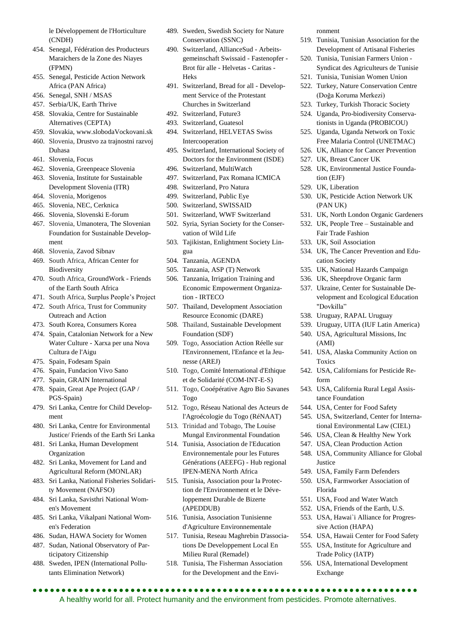le Développement de l'Horticulture (CNDH)

- 454. Senegal, Fédération des Producteurs Maraichers de la Zone des Niayes (FPMN)
- 455. Senegal, Pesticide Action Network Africa (PAN Africa)
- 456. Senegal, SNH / MSAS
- 457. Serbia/UK, Earth Thrive
- 458. Slovakia, Centre for Sustainable Alternatives (CEPTA)
- 459. Slovakia, www.slobodaVockovani.sk 460. Slovenia, Drustvo za trajnostni razvoj Duhasa
- 461. Slovenia, Focus
- 462. Slovenia, Greenpeace Slovenia
- 463. Slovenia, Institute for Sustainable Development Slovenia (ITR)
- 464. Slovenia, Morigenos
- 465. Slovenia, NEC, Cerknica
- 466. Slovenia, Slovenski E-forum
- 467. Slovenia, Umanotera, The Slovenian Foundation for Sustainable Development
- 468. Slovenia, Zavod Sibnav
- 469. South Africa, African Center for **Biodiversity**
- 470. South Africa, GroundWork Friends of the Earth South Africa
- 471. South Africa, Surplus People's Project
- 472. South Africa, Trust for Community Outreach and Action
- 473. South Korea, Consumers Korea
- 474. Spain, Catalonian Network for a New Water Culture - Xarxa per una Nova Cultura de l'Aigu
- 475. Spain, Fodesam Spain
- 476. Spain, Fundacion Vivo Sano
- 477. Spain, GRAIN International
- 478. Spain, Great Ape Project (GAP / PGS-Spain)
- 479. Sri Lanka, Centre for Child Development
- 480. Sri Lanka, Centre for Environmental Justice/ Friends of the Earth Sri Lanka
- 481. Sri Lanka, Human Development Organization
- 482. Sri Lanka, Movement for Land and Agricultural Reform (MONLAR)
- 483. Sri Lanka, National Fisheries Solidarity Movement (NAFSO)
- 484. Sri Lanka, Savisthri National Women's Movement
- 485. Sri Lanka, Vikalpani National Women's Federation
- 486. Sudan, HAWA Society for Women
- 487. Sudan, National Observatory of Participatory Citizenship
- 488. Sweden, IPEN (International Pollutants Elimination Network)
- 489. Sweden, Swedish Society for Nature Conservation (SSNC)
- 490. Switzerland, AllianceSud Arbeitsgemeinschaft Swissaid - Fastenopfer - Brot für alle - Helvetas - Caritas - Heks
- 491. Switzerland, Bread for all Development Service of the Protestant Churches in Switzerland
- 492. Switzerland, Future3
- 493. Switzerland, Guatesol
- 494. Switzerland, HELVETAS Swiss Intercooperation
- 495. Switzerland, International Society of Doctors for the Environment (ISDE)
- 496. Switzerland, MultiWatch
- 497. Switzerland, Pax Romana ICMICA
- 498. Switzerland, Pro Natura
- 499. Switzerland, Public Eye
- 500. Switzerland, SWISSAID
- 501. Switzerland, WWF Switzerland
- 502. Syria, Syrian Society for the Conservation of Wild Life
- 503. Tajikistan, Enlightment Society Lingua
- 504. Tanzania, AGENDA
- 505. Tanzania, ASP (T) Network
- 506. Tanzania, Irrigation Training and Economic Empowerment Organization - IRTECO
- 507. Thailand, Development Association Resource Economic (DARE)
- 508. Thailand, Sustainable Development Foundation (SDF)
- 509. Togo, Association Action Réelle sur l'Environnement, l'Enfance et la Jeunesse (AREJ)
- 510. Togo, Comité International d'Ethique et de Solidarité (COM-INT-E-S)
- 511. Togo, Cooépérative Agro Bio Savanes Togo
- 512. Togo, Réseau National des Acteurs de l'Agroécologie du Togo (RéNAAT)
- 513. Trinidad and Tobago, The Louise Mungal Environmental Foundation
- 514. Tunisia, Association de l'Education Environnementale pour les Futures Générations (AEEFG) - Hub regional IPEN-MENA North Africa
- 515. Tunisia, Association pour la Protection de l'Environnement et le Développement Durable de Bizerte (APEDDUB)
- 516. Tunisia, Association Tunisienne d'Agriculture Environnementale
- 517. Tunisia, Reseau Maghrebin D'associations De Developpement Local En Milieu Rural (Remadel)
- 518. Tunisia, The Fisherman Association for the Development and the Envi-

A healthy world for all. Protect humanity and the environment from pesticides. Promote alternatives.

ronment

- 519. Tunisia, Tunisian Association for the Development of Artisanal Fisheries
- 520. Tunisia, Tunisian Farmers Union Syndicat des Agriculteurs de Tunisie
- 521. Tunisia, Tunisian Women Union
	- 522. Turkey, Nature Conservation Centre (Doğa Koruma Merkezi)
	- 523. Turkey, Turkish Thoracic Society
	- 524. Uganda, Pro-biodiversity Conservationists in Uganda (PROBICOU)
	- 525. Uganda, Uganda Network on Toxic Free Malaria Control (UNETMAC)
	- 526. UK, Alliance for Cancer Prevention
	- 527. UK, Breast Cancer UK
	- 528. UK, Environmental Justice Foundation (EJF)
	- 529. UK, Liberation
	- 530. UK, Pesticide Action Network UK (PAN UK)
	- 531. UK, North London Organic Gardeners
	- 532. UK, People Tree Sustainable and Fair Trade Fashion
	- 533. UK, Soil Association
	- 534. UK, The Cancer Prevention and Education Society
	- 535. UK, National Hazards Campaign
	- 536. UK, Sheepdrove Organic farm
	- 537. Ukraine, Center for Sustainable Development and Ecological Education "Dovkilla"
	- 538. Uruguay, RAPAL Uruguay
	- 539. Uruguay, UITA (IUF Latin America)
	- 540. USA, Agricultural Missions, Inc (AMI)
	- 541. USA, Alaska Community Action on Toxics
	- 542. USA, Californians for Pesticide Reform
	- 543. USA, California Rural Legal Assistance Foundation
	- 544. USA, Center for Food Safety
	- 545. USA, Switzerland, Center for International Environmental Law (CIEL)
	- 546. USA, Clean & Healthy New York
	- 547. USA, Clean Production Action
	- 548. USA, Community Alliance for Global Justice
	- 549. USA, Family Farm Defenders
	- 550. USA, Farmworker Association of Florida
	- 551. USA, Food and Water Watch

sive Action (HAPA)

Exchange

552. USA, Friends of the Earth, U.S. 553. USA, Hawai`i Alliance for Progres-

554. USA, Hawaii Center for Food Safety 555. USA, Institute for Agriculture and Trade Policy (IATP) 556. USA, International Development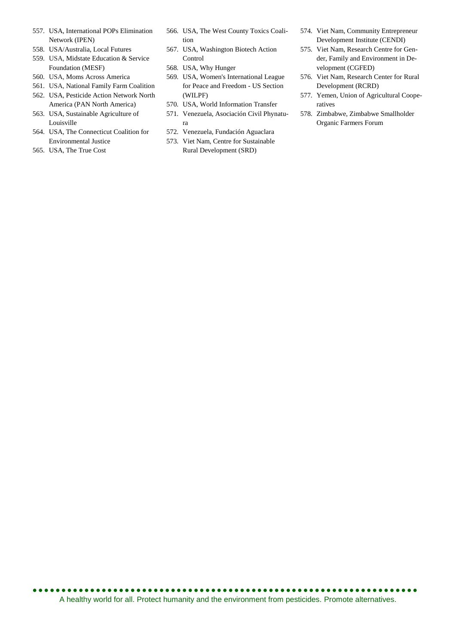- 557. USA, International POPs Elimination Network (IPEN)
- 558. USA/Australia, Local Futures
- 559. USA, Midstate Education & Service Foundation (MESF)
- 560. USA, Moms Across America
- 561. USA, National Family Farm Coalition
- 562. USA, Pesticide Action Network North America (PAN North America)
- 563. USA, Sustainable Agriculture of Louisville
- 564. USA, The Connecticut Coalition for Environmental Justice
- 565. USA, The True Cost
- 566. USA, The West County Toxics Coalition
- 567. USA, Washington Biotech Action Control
- 568. USA, Why Hunger
- 569. USA, Women's International League for Peace and Freedom - US Section (WILPF)
- 570. USA, World Information Transfer
- 571. Venezuela, Asociación Civil Phynatura
- 572. Venezuela, Fundación Aguaclara
- 573. Viet Nam, Centre for Sustainable Rural Development (SRD)
- 574. Viet Nam, Community Entrepreneur Development Institute (CENDI)
- 575. Viet Nam, Research Centre for Gender, Family and Environment in Development (CGFED)
- 576. Viet Nam, Research Center for Rural Development (RCRD)
- 577. Yemen, Union of Agricultural Cooperatives
- 578. Zimbabwe, Zimbabwe Smallholder Organic Farmers Forum